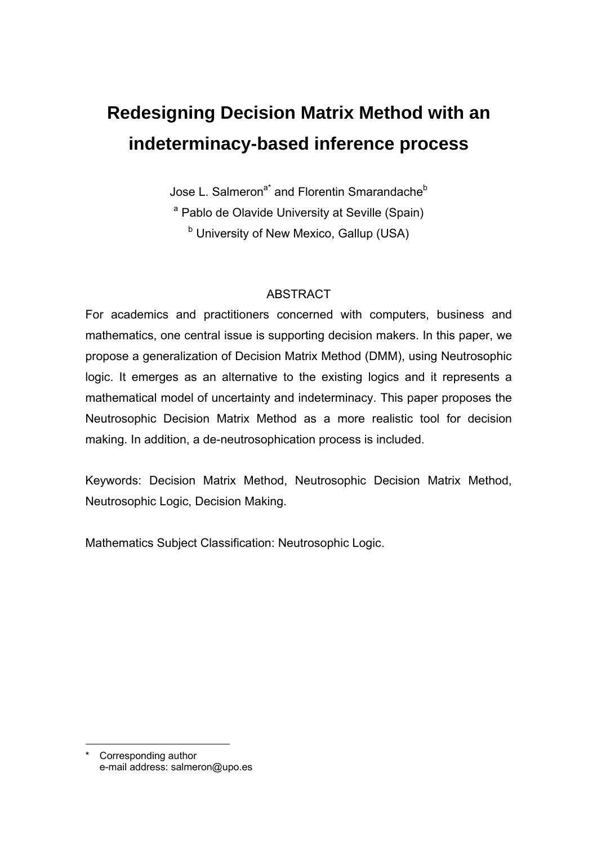# **Redesigning Decision Matrix Method with an indeterminacy-based inference process**

Jose L. Salmeron<sup>a\*</sup> and Florentin Smarandache<sup>b</sup> <sup>a</sup> Pablo de Olavide University at Seville (Spain) <sup>b</sup> University of New Mexico, Gallup (USA)

## ABSTRACT

For academics and practitioners concerned with computers, business and mathematics, one central issue is supporting decision makers. In this paper, we propose a generalization of Decision Matrix Method (DMM), using Neutrosophic logic. It emerges as an alternative to the existing logics and it represents a mathematical model of uncertainty and indeterminacy. This paper proposes the Neutrosophic Decision Matrix Method as a more realistic tool for decision making. In addition, a de-neutrosophication process is included.

Keywords: Decision Matrix Method, Neutrosophic Decision Matrix Method, Neutrosophic Logic, Decision Making.

Mathematics Subject Classification: Neutrosophic Logic.

l Corresponding author e-mail address: salmeron@upo.es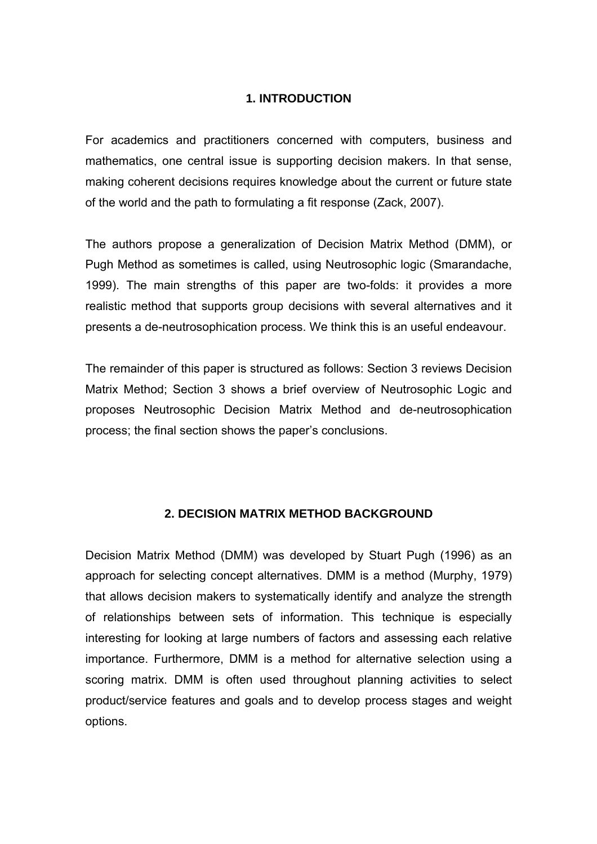### **1. INTRODUCTION**

For academics and practitioners concerned with computers, business and mathematics, one central issue is supporting decision makers. In that sense, making coherent decisions requires knowledge about the current or future state of the world and the path to formulating a fit response (Zack, 2007).

The authors propose a generalization of Decision Matrix Method (DMM), or Pugh Method as sometimes is called, using Neutrosophic logic (Smarandache, 1999). The main strengths of this paper are two-folds: it provides a more realistic method that supports group decisions with several alternatives and it presents a de-neutrosophication process. We think this is an useful endeavour.

The remainder of this paper is structured as follows: Section 3 reviews Decision Matrix Method; Section 3 shows a brief overview of Neutrosophic Logic and proposes Neutrosophic Decision Matrix Method and de-neutrosophication process; the final section shows the paper's conclusions.

### **2. DECISION MATRIX METHOD BACKGROUND**

Decision Matrix Method (DMM) was developed by Stuart Pugh (1996) as an approach for selecting concept alternatives. DMM is a method (Murphy, 1979) that allows decision makers to systematically identify and analyze the strength of relationships between sets of information. This technique is especially interesting for looking at large numbers of factors and assessing each relative importance. Furthermore, DMM is a method for alternative selection using a scoring matrix. DMM is often used throughout planning activities to select product/service features and goals and to develop process stages and weight options.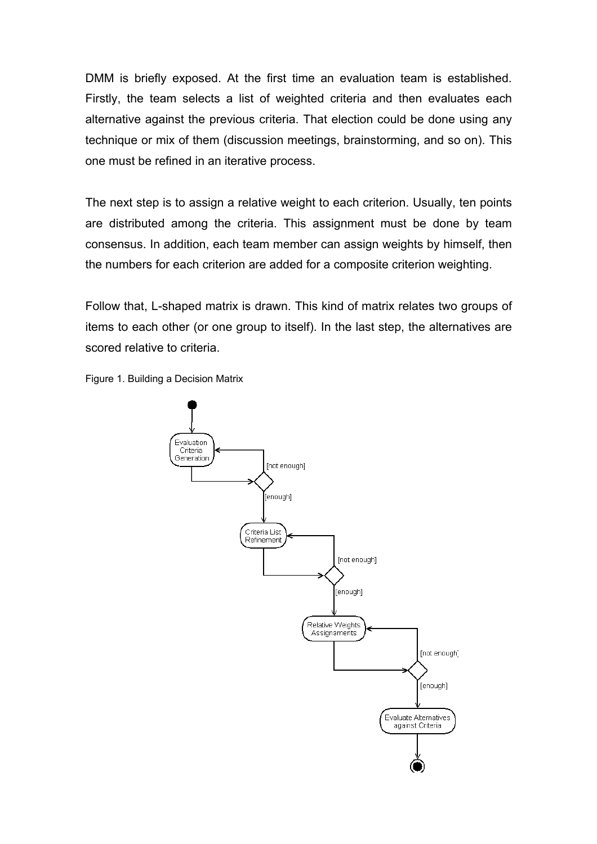DMM is briefly exposed. At the first time an evaluation team is established. Firstly, the team selects a list of weighted criteria and then evaluates each alternative against the previous criteria. That election could be done using any technique or mix of them (discussion meetings, brainstorming, and so on). This one must be refined in an iterative process.

The next step is to assign a relative weight to each criterion. Usually, ten points are distributed among the criteria. This assignment must be done by team consensus. In addition, each team member can assign weights by himself, then the numbers for each criterion are added for a composite criterion weighting.

Follow that, L-shaped matrix is drawn. This kind of matrix relates two groups of items to each other (or one group to itself). In the last step, the alternatives are scored relative to criteria.



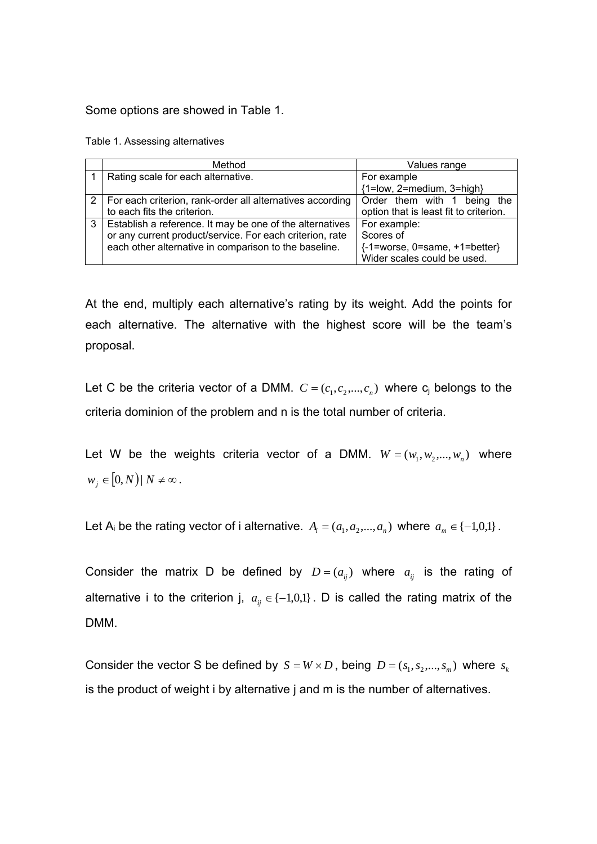Some options are showed in Table 1.

Table 1. Assessing alternatives

|   | Method                                                                                                                                                                        | Values range                                                                                  |
|---|-------------------------------------------------------------------------------------------------------------------------------------------------------------------------------|-----------------------------------------------------------------------------------------------|
|   | Rating scale for each alternative.                                                                                                                                            | For example<br>${1 = low, 2 = medium, 3 = high}$                                              |
|   | For each criterion, rank-order all alternatives according<br>to each fits the criterion.                                                                                      | Order them with 1 being the<br>option that is least fit to criterion.                         |
| 3 | Establish a reference. It may be one of the alternatives<br>or any current product/service. For each criterion, rate<br>each other alternative in comparison to the baseline. | For example:<br>Scores of<br>${-1}$ =worse, 0=same, +1=better}<br>Wider scales could be used. |

At the end, multiply each alternative's rating by its weight. Add the points for each alternative. The alternative with the highest score will be the team's proposal.

Let C be the criteria vector of a DMM.  $C = (c_1, c_2, ..., c_n)$  where  $c_i$  belongs to the criteria dominion of the problem and n is the total number of criteria.

Let W be the weights criteria vector of a DMM.  $W = (w_1, w_2, ..., w_n)$  where  $w_j \in [0,N) \mid N \neq \infty$ .

Let A<sub>i</sub> be the rating vector of i alternative.  $A_i = (a_1, a_2, ..., a_n)$  where  $a_m \in \{-1,0,1\}$ .

Consider the matrix D be defined by  $D = (a_{ij})$  where  $a_{ij}$  is the rating of alternative i to the criterion j,  $a_{ij} \in \{-1,0,1\}$ . D is called the rating matrix of the DMM.

Consider the vector S be defined by  $S = W \times D$ , being  $D = (s_1, s_2, ..., s_m)$  where  $s_k$ is the product of weight i by alternative j and m is the number of alternatives.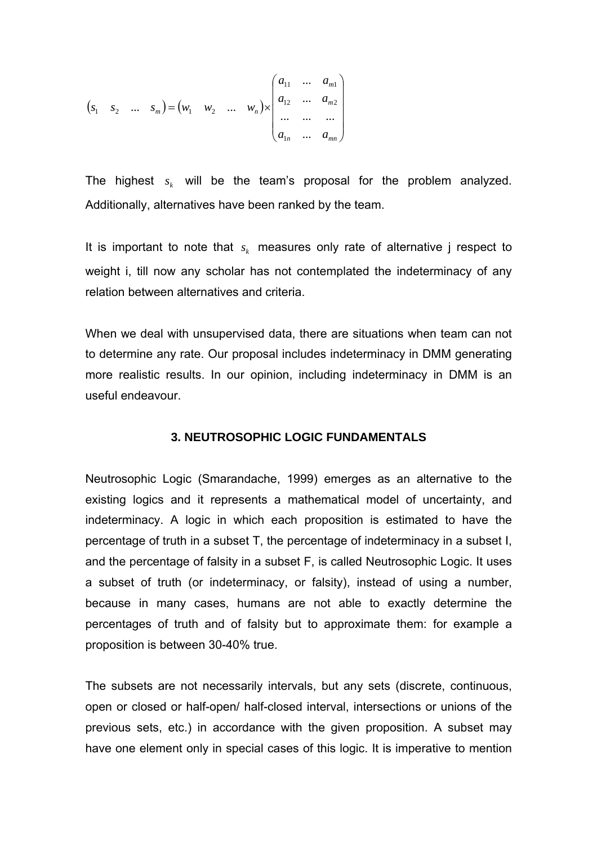$$
(s_1 \quad s_2 \quad \dots \quad s_m) = (w_1 \quad w_2 \quad \dots \quad w_n) \times \begin{pmatrix} a_{11} & \dots & a_{m1} \\ a_{12} & \dots & a_{m2} \\ \dots & \dots & \dots \\ a_{1n} & \dots & a_{mn} \end{pmatrix}
$$

The highest  $s_k$  will be the team's proposal for the problem analyzed. Additionally, alternatives have been ranked by the team.

It is important to note that  $s_k$  measures only rate of alternative j respect to weight i, till now any scholar has not contemplated the indeterminacy of any relation between alternatives and criteria.

When we deal with unsupervised data, there are situations when team can not to determine any rate. Our proposal includes indeterminacy in DMM generating more realistic results. In our opinion, including indeterminacy in DMM is an useful endeavour.

#### **3. NEUTROSOPHIC LOGIC FUNDAMENTALS**

Neutrosophic Logic (Smarandache, 1999) emerges as an alternative to the existing logics and it represents a mathematical model of uncertainty, and indeterminacy. A logic in which each proposition is estimated to have the percentage of truth in a subset T, the percentage of indeterminacy in a subset I, and the percentage of falsity in a subset F, is called Neutrosophic Logic. It uses a subset of truth (or indeterminacy, or falsity), instead of using a number, because in many cases, humans are not able to exactly determine the percentages of truth and of falsity but to approximate them: for example a proposition is between 30-40% true.

The subsets are not necessarily intervals, but any sets (discrete, continuous, open or closed or half-open/ half-closed interval, intersections or unions of the previous sets, etc.) in accordance with the given proposition. A subset may have one element only in special cases of this logic. It is imperative to mention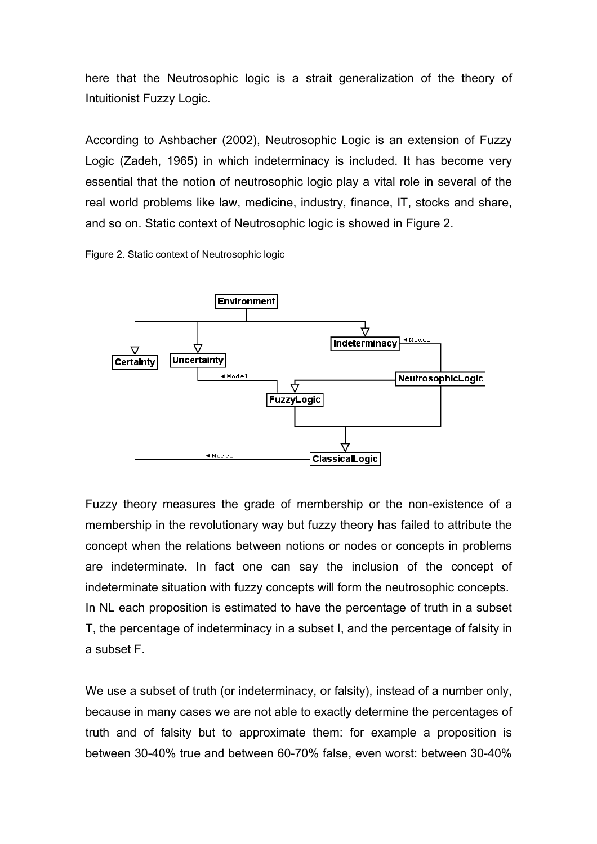here that the Neutrosophic logic is a strait generalization of the theory of Intuitionist Fuzzy Logic.

According to Ashbacher (2002), Neutrosophic Logic is an extension of Fuzzy Logic (Zadeh, 1965) in which indeterminacy is included. It has become very essential that the notion of neutrosophic logic play a vital role in several of the real world problems like law, medicine, industry, finance, IT, stocks and share, and so on. Static context of Neutrosophic logic is showed in Figure 2.





Fuzzy theory measures the grade of membership or the non-existence of a membership in the revolutionary way but fuzzy theory has failed to attribute the concept when the relations between notions or nodes or concepts in problems are indeterminate. In fact one can say the inclusion of the concept of indeterminate situation with fuzzy concepts will form the neutrosophic concepts. In NL each proposition is estimated to have the percentage of truth in a subset T, the percentage of indeterminacy in a subset I, and the percentage of falsity in a subset F.

We use a subset of truth (or indeterminacy, or falsity), instead of a number only, because in many cases we are not able to exactly determine the percentages of truth and of falsity but to approximate them: for example a proposition is between 30-40% true and between 60-70% false, even worst: between 30-40%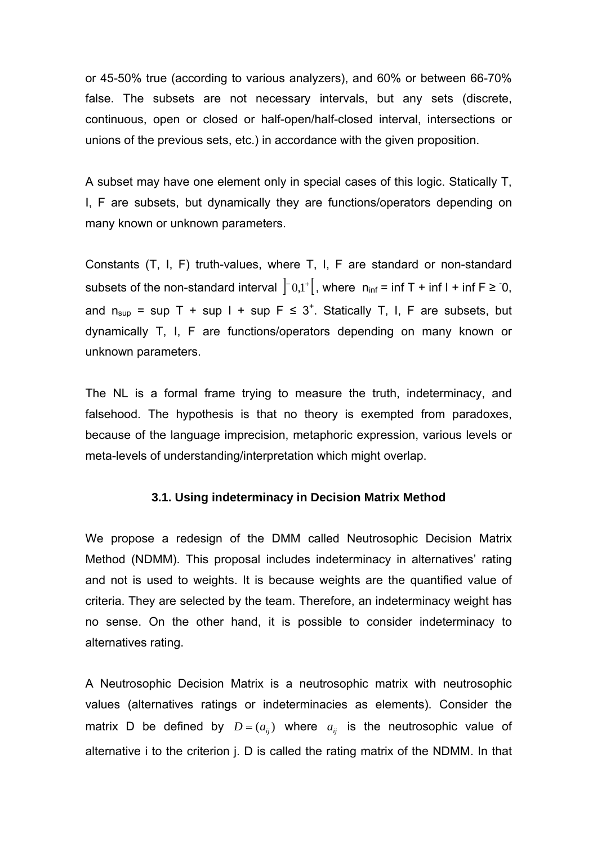or 45-50% true (according to various analyzers), and 60% or between 66-70% false. The subsets are not necessary intervals, but any sets (discrete, continuous, open or closed or half-open/half-closed interval, intersections or unions of the previous sets, etc.) in accordance with the given proposition.

A subset may have one element only in special cases of this logic. Statically T, I, F are subsets, but dynamically they are functions/operators depending on many known or unknown parameters.

Constants (T, I, F) truth-values, where T, I, F are standard or non-standard subsets of the non-standard interval  $\begin{vmatrix} -0.1^+ \\ 0.1 \end{vmatrix}$ , where  $n_{inf}$  = inf T + inf I + inf F ≥ 0, and  $n_{\text{sup}}$  = sup T + sup I + sup F  $\leq$  3<sup>+</sup>. Statically T, I, F are subsets, but dynamically T, I, F are functions/operators depending on many known or unknown parameters.

The NL is a formal frame trying to measure the truth, indeterminacy, and falsehood. The hypothesis is that no theory is exempted from paradoxes, because of the language imprecision, metaphoric expression, various levels or meta-levels of understanding/interpretation which might overlap.

### **3.1. Using indeterminacy in Decision Matrix Method**

We propose a redesign of the DMM called Neutrosophic Decision Matrix Method (NDMM). This proposal includes indeterminacy in alternatives' rating and not is used to weights. It is because weights are the quantified value of criteria. They are selected by the team. Therefore, an indeterminacy weight has no sense. On the other hand, it is possible to consider indeterminacy to alternatives rating.

A Neutrosophic Decision Matrix is a neutrosophic matrix with neutrosophic values (alternatives ratings or indeterminacies as elements). Consider the matrix D be defined by  $D = (a_{ij})$  where  $a_{ij}$  is the neutrosophic value of alternative i to the criterion i. D is called the rating matrix of the NDMM. In that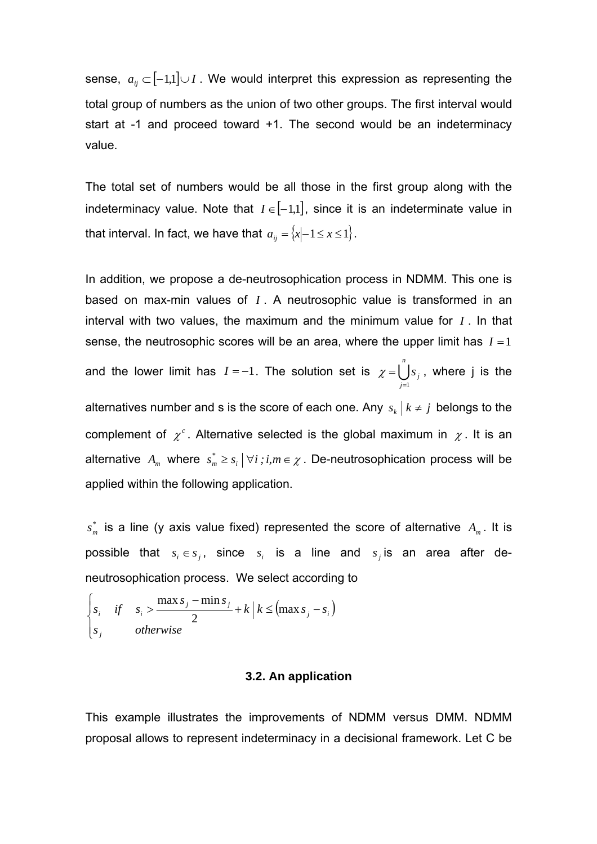sense,  $a_{ij} \subset [-1,1] \cup I$ . We would interpret this expression as representing the total group of numbers as the union of two other groups. The first interval would start at -1 and proceed toward +1. The second would be an indeterminacy value.

The total set of numbers would be all those in the first group along with the indeterminacy value. Note that  $I \in [-1,1]$ , since it is an indeterminate value in that interval. In fact, we have that  $a_{ii} = \{x | -1 \le x \le 1\}$ .

In addition, we propose a de-neutrosophication process in NDMM. This one is based on max-min values of *I* . A neutrosophic value is transformed in an interval with two values, the maximum and the minimum value for *I* . In that sense, the neutrosophic scores will be an area, where the upper limit has  $I = 1$ and the lower limit has  $I = -1$ . The solution set is  $\chi = \bigcup_{i=1}^{n}$ *n j j s* =1  $\chi =$   $|$   $|s_{i}$ , where j is the alternatives number and s is the score of each one. Any  $s_k | k \neq j$  belongs to the complement of  $\chi^c$ . Alternative selected is the global maximum in  $\chi$ . It is an alternative  $A_m$  where  $s_m^* \geq s_i \mid \forall i : i, m \in \mathcal{X}$ . De-neutrosophication process will be applied within the following application.

 $s_{m}^{*}$  is a line (y axis value fixed) represented the score of alternative  $A_{m}$ . It is possible that  $s_i \in s_j$ , since  $s_i$  is a line and  $s_j$  is an area after deneutrosophication process. We select according to

$$
\begin{cases}\ns_i & \text{if} \quad s_i > \frac{\max s_j - \min s_j}{2} + k \mid k \leq (\max s_j - s_i) \\
s_j & \text{otherwise}\n\end{cases}
$$

#### **3.2. An application**

This example illustrates the improvements of NDMM versus DMM. NDMM proposal allows to represent indeterminacy in a decisional framework. Let C be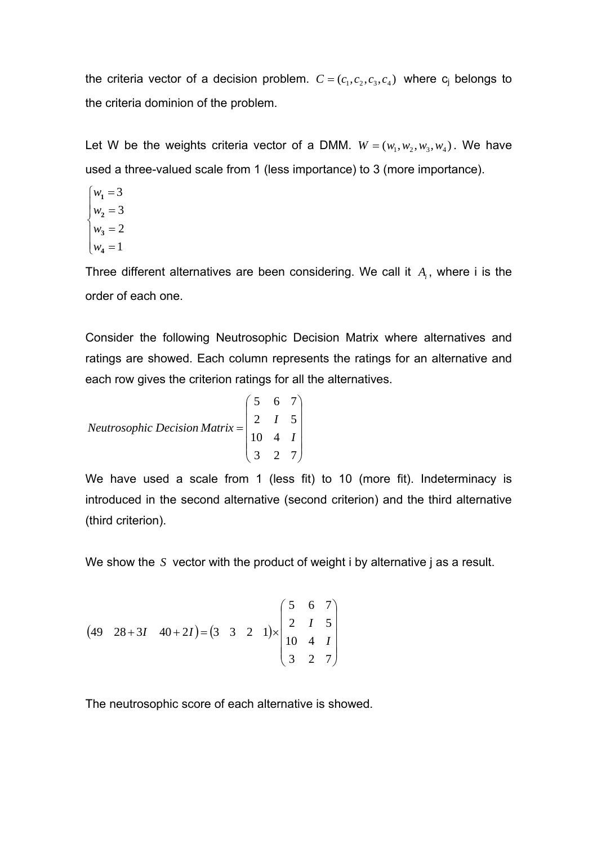the criteria vector of a decision problem.  $C = (c_1, c_2, c_3, c_4)$  where  $c_i$  belongs to the criteria dominion of the problem.

Let W be the weights criteria vector of a DMM.  $W = (w_1, w_2, w_3, w_4)$ . We have used a three-valued scale from 1 (less importance) to 3 (more importance).

 $w_4 = 1$  $\overline{a}$  $w_2 = 3$  $\begin{cases} w_3 = 2 \end{cases}$  $w_1 = 3$ 

Three different alternatives are been considering. We call it  $A_i$ , where i is the order of each one.

Consider the following Neutrosophic Decision Matrix where alternatives and ratings are showed. Each column represents the ratings for an alternative and each row gives the criterion ratings for all the alternatives.

*Neutrosophic Decision Matrix* = 
$$
\begin{pmatrix} 5 & 6 & 7 \ 2 & 1 & 5 \ 10 & 4 & 1 \ 3 & 2 & 7 \end{pmatrix}
$$

We have used a scale from 1 (less fit) to 10 (more fit). Indeterminacy is introduced in the second alternative (second criterion) and the third alternative (third criterion).

We show the *S* vector with the product of weight i by alternative j as a result.

$$
(49 \quad 28+31 \quad 40+21) = (3 \quad 3 \quad 2 \quad 1) \times \begin{pmatrix} 5 & 6 & 7 \\ 2 & 1 & 5 \\ 10 & 4 & 1 \\ 3 & 2 & 7 \end{pmatrix}
$$

The neutrosophic score of each alternative is showed.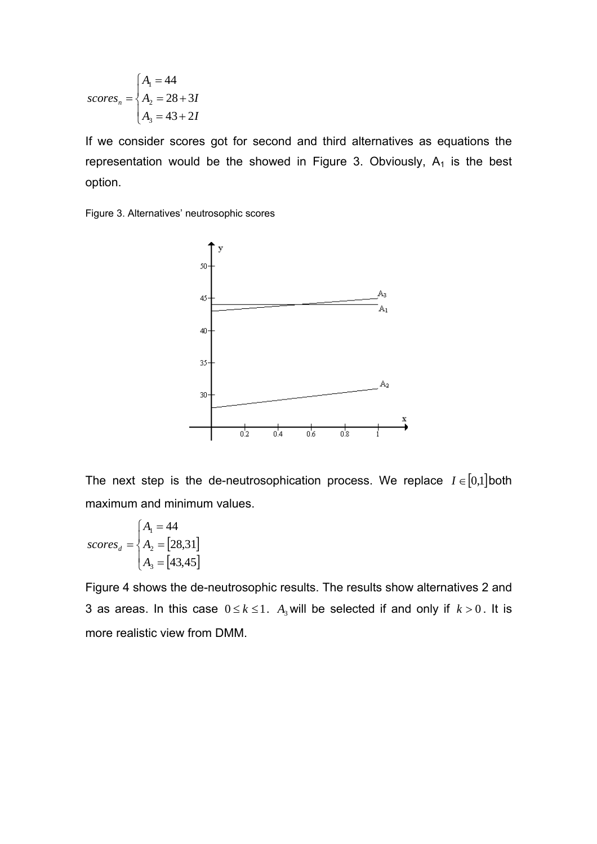$$
scoresn = \begin{cases} A_1 = 44 \\ A_2 = 28 + 3I \\ A_3 = 43 + 2I \end{cases}
$$

If we consider scores got for second and third alternatives as equations the representation would be the showed in Figure 3. Obviously,  $A_1$  is the best option.





The next step is the de-neutrosophication process. We replace  $I \in [0,1]$  both maximum and minimum values.

$$
scores_d = \begin{cases} A_1 = 44 \\ A_2 = [28, 31] \\ A_3 = [43, 45] \end{cases}
$$

Figure 4 shows the de-neutrosophic results. The results show alternatives 2 and 3 as areas. In this case  $0 \le k \le 1$ . A<sub>3</sub> will be selected if and only if  $k > 0$ . It is more realistic view from DMM.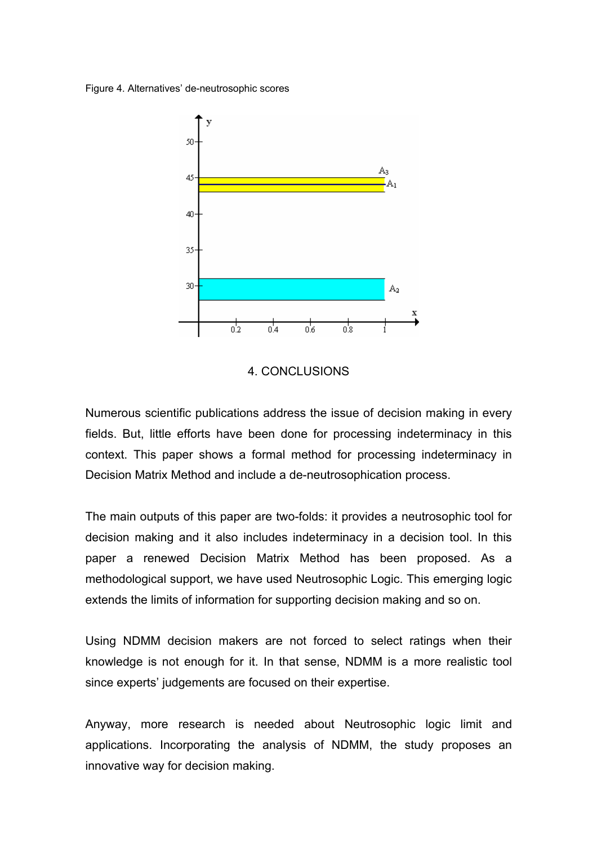Figure 4. Alternatives' de-neutrosophic scores



#### 4. CONCLUSIONS

Numerous scientific publications address the issue of decision making in every fields. But, little efforts have been done for processing indeterminacy in this context. This paper shows a formal method for processing indeterminacy in Decision Matrix Method and include a de-neutrosophication process.

The main outputs of this paper are two-folds: it provides a neutrosophic tool for decision making and it also includes indeterminacy in a decision tool. In this paper a renewed Decision Matrix Method has been proposed. As a methodological support, we have used Neutrosophic Logic. This emerging logic extends the limits of information for supporting decision making and so on.

Using NDMM decision makers are not forced to select ratings when their knowledge is not enough for it. In that sense, NDMM is a more realistic tool since experts' judgements are focused on their expertise.

Anyway, more research is needed about Neutrosophic logic limit and applications. Incorporating the analysis of NDMM, the study proposes an innovative way for decision making.